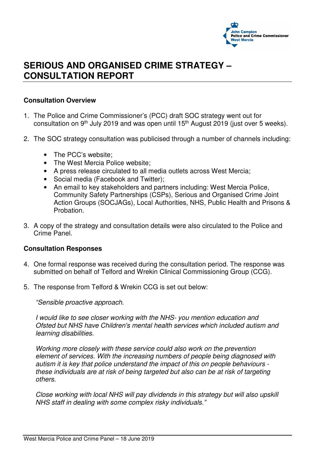

## **SERIOUS AND ORGANISED CRIME STRATEGY – CONSULTATION REPORT**

## **Consultation Overview**

- 1. The Police and Crime Commissioner's (PCC) draft SOC strategy went out for consultation on 9th July 2019 and was open until 15th August 2019 (just over 5 weeks).
- 2. The SOC strategy consultation was publicised through a number of channels including:
	- The PCC's website:
	- The West Mercia Police website:
	- A press release circulated to all media outlets across West Mercia;
	- Social media (Facebook and Twitter);
	- An email to key stakeholders and partners including: West Mercia Police, Community Safety Partnerships (CSPs), Serious and Organised Crime Joint Action Groups (SOCJAGs), Local Authorities, NHS, Public Health and Prisons & Probation.
- 3. A copy of the strategy and consultation details were also circulated to the Police and Crime Panel.

## **Consultation Responses**

- 4. One formal response was received during the consultation period. The response was submitted on behalf of Telford and Wrekin Clinical Commissioning Group (CCG).
- 5. The response from Telford & Wrekin CCG is set out below:

"Sensible proactive approach.

I would like to see closer working with the NHS- you mention education and Ofsted but NHS have Children's mental health services which included autism and learning disabilities.

Working more closely with these service could also work on the prevention element of services. With the increasing numbers of people being diagnosed with autism it is key that police understand the impact of this on people behaviours these individuals are at risk of being targeted but also can be at risk of targeting others.

Close working with local NHS will pay dividends in this strategy but will also upskill NHS staff in dealing with some complex risky individuals."